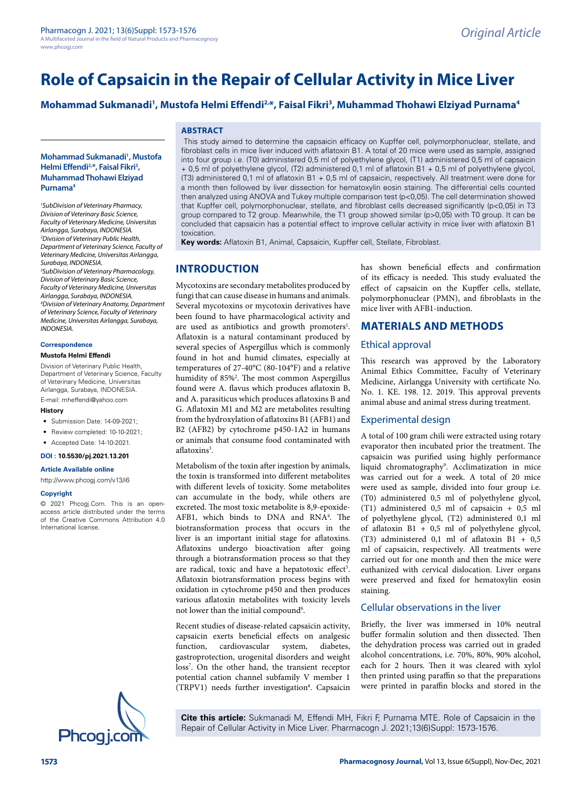# **Role of Capsaicin in the Repair of Cellular Activity in Mice Liver**

# **Mohammad Sukmanadi1 , Mustofa Helmi Effendi2,\*, Faisal Fikri3 , Muhammad Thohawi Elziyad Purnama4**

#### **Mohammad Sukmanadi1 , Mustofa Helmi Effendi2,\*, Faisal Fikri3 , Muhammad Thohawi Elziyad Purnama4**

*1 SubDivision of Veterinary Pharmacy, Division of Veterinary Basic Science, Faculty of Veterinary Medicine, Universitas Airlangga, Surabaya, INDONESIA. 2 Division of Veterinary Public Health, Department of Veterinary Science, Faculty of Veterinary Medicine, Universitas Airlangga, Surabaya, INDONESIA. 3 SubDivision of Veterinary Pharmacology, Division of Veterinary Basic Science, Faculty of Veterinary Medicine, Universitas Airlangga, Surabaya, INDONESIA. 4 Division of Veterinary Anatomy, Department of Veterinary Science, Faculty of Veterinary Medicine, Universitas Airlangga, Surabaya, INDONESIA.*

#### **Correspondence**

#### **Mustofa Helmi Effendi**

Division of Veterinary Public Health, Department of Veterinary Science, Faculty of Veterinary Medicine, Universitas Airlangga, Surabaya, INDONESIA.

E-mail: mheffendi@yahoo.com

#### **History**

- Submission Date: 14-09-2021;
- Review completed: 10-10-2021;
- Accepted Date: 14-10-2021.

#### **DOI : 10.5530/pj.2021.13.201**

**Article Available online** 

### [http://www.phcogj.com/v13/i6](http://www.phcogj.com/v13/i4)

#### **Copyright**

© 2021 Phcogj.Com. This is an openaccess article distributed under the terms of the Creative Commons Attribution 4.0 International license.



 This study aimed to determine the capsaicin efficacy on Kupffer cell, polymorphonuclear, stellate, and fibroblast cells in mice liver induced with aflatoxin B1. A total of 20 mice were used as sample, assigned into four group i.e. (T0) administered 0,5 ml of polyethylene glycol, (T1) administered 0,5 ml of capsaicin + 0,5 ml of polyethylene glycol, (T2) administered 0,1 ml of aflatoxin B1 + 0,5 ml of polyethylene glycol, (T3) administered 0,1 ml of aflatoxin B1 + 0,5 ml of capsaicin, respectively. All treatment were done for a month then followed by liver dissection for hematoxylin eosin staining. The differential cells counted then analyzed using ANOVA and Tukey multiple comparison test (p<0,05). The cell determination showed that Kupffer cell, polymorphonuclear, stellate, and fibroblast cells decreased significantly (p<0,05) in T3 group compared to T2 group. Meanwhile, the T1 group showed similar (p>0,05) with T0 group. It can be concluded that capsaicin has a potential effect to improve cellular activity in mice liver with aflatoxin B1 toxication.

**Key words:** Aflatoxin B1, Animal, Capsaicin, Kupffer cell, Stellate, Fibroblast.

## **INTRODUCTION**

**ABSTRACT**

Mycotoxins are secondary metabolites produced by fungi that can cause disease in humans and animals. Several mycotoxins or mycotoxin derivatives have been found to have pharmacological activity and are used as antibiotics and growth promoters<sup>1</sup>. Aflatoxin is a natural contaminant produced by several species of Aspergillus which is commonly found in hot and humid climates, especially at temperatures of 27-40°C (80-104°F) and a relative humidity of 85%<sup>2</sup>. The most common Aspergillus found were A. flavus which produces aflatoxin B, and A. parasiticus which produces aflatoxins B and G. Aflatoxin M1 and M2 are metabolites resulting from the hydroxylation of aflatoxins B1 (AFB1) and B2 (AFB2) by cytochrome p450-1A2 in humans or animals that consume food contaminated with aflatoxins<sup>3</sup>.

Metabolism of the toxin after ingestion by animals, the toxin is transformed into different metabolites with different levels of toxicity. Some metabolites can accumulate in the body, while others are excreted. The most toxic metabolite is 8,9-epoxide-AFB1, which binds to DNA and RNA<sup>4</sup>. The biotransformation process that occurs in the liver is an important initial stage for aflatoxins. Aflatoxins undergo bioactivation after going through a biotransformation process so that they are radical, toxic and have a hepatotoxic effect<sup>5</sup>. Aflatoxin biotransformation process begins with oxidation in cytochrome p450 and then produces various aflatoxin metabolites with toxicity levels not lower than the initial compound<sup>6</sup>.

Recent studies of disease-related capsaicin activity, capsaicin exerts beneficial effects on analgesic function, cardiovascular system, diabetes, gastroprotection, urogenital disorders and weight loss<sup>7</sup>. On the other hand, the transient receptor potential cation channel subfamily V member 1 (TRPV1) needs further investigation<sup>8</sup>. Capsaicin has shown beneficial effects and confirmation of its efficacy is needed. This study evaluated the effect of capsaicin on the Kupffer cells, stellate, polymorphonuclear (PMN), and fibroblasts in the mice liver with AFB1-induction.

## **MATERIALS AND METHODS**

#### Ethical approval

This research was approved by the Laboratory Animal Ethics Committee, Faculty of Veterinary Medicine, Airlangga University with certificate No. No. 1. KE. 198. 12. 2019. This approval prevents animal abuse and animal stress during treatment.

#### Experimental design

A total of 100 gram chili were extracted using rotary evaporator then incubated prior the treatment. The capsaicin was purified using highly performance liquid chromatography<sup>9</sup>. Acclimatization in mice was carried out for a week. A total of 20 mice were used as sample, divided into four group i.e. (T0) administered 0,5 ml of polyethylene glycol, (T1) administered 0,5 ml of capsaicin + 0,5 ml of polyethylene glycol, (T2) administered 0,1 ml of aflatoxin B1 + 0,5 ml of polyethylene glycol, (T3) administered 0,1 ml of aflatoxin B1 +  $0,5$ ml of capsaicin, respectively. All treatments were carried out for one month and then the mice were euthanized with cervical dislocation. Liver organs were preserved and fixed for hematoxylin eosin staining.

## Cellular observations in the liver

Briefly, the liver was immersed in 10% neutral buffer formalin solution and then dissected. Then the dehydration process was carried out in graded alcohol concentrations, i.e. 70%, 80%, 90% alcohol, each for 2 hours. Then it was cleared with xylol then printed using paraffin so that the preparations were printed in paraffin blocks and stored in the

**Cite this article:** Sukmanadi M, Effendi MH, Fikri F, Purnama MTE. Role of Capsaicin in the Repair of Cellular Activity in Mice Liver. Pharmacogn J. 2021;13(6)Suppl: 1573-1576.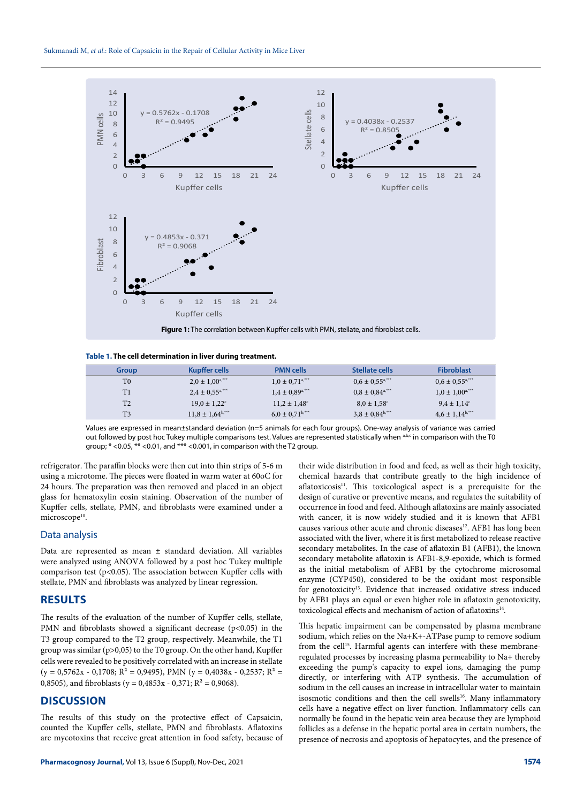

**Table 1. The cell determination in liver during treatment.**

| Group          | <b>Kupffer cells</b>            | <b>PMN cells</b>                | <b>Stellate cells</b>           | <b>Fibroblast</b>               |
|----------------|---------------------------------|---------------------------------|---------------------------------|---------------------------------|
| T <sub>0</sub> | $2.0 \pm 1.00$ <sup>a,***</sup> | $1.0 \pm 0.71$ <sup>a,***</sup> | $0.6 \pm 0.55^{a,***}$          | $0.6 \pm 0.55$ <sup>a,***</sup> |
| T1             | $2.4 \pm 0.55$ <sup>a,***</sup> | $1.4 \pm 0.89$ <sup>a,***</sup> | $0.8 \pm 0.84$ <sup>a,***</sup> | $1.0 \pm 1.00$ <sup>a,***</sup> |
| T <sub>2</sub> | $19.0 \pm 1.22$ <sup>c</sup>    | $11.2 \pm 1.48^{\circ}$         | $8.0 \pm 1.58$ <sup>c</sup>     | $9.4 \pm 1.14^c$                |
| T <sub>3</sub> | $11,8 \pm 1,64^{b,***}$         | $6.0 \pm 0.71$ <sup>b,***</sup> | $3,8 \pm 0,84^{b,***}$          | $4.6 \pm 1.14^{b,***}$          |
|                |                                 |                                 |                                 |                                 |

Values are expressed in mean±standard deviation (n=5 animals for each four groups). One-way analysis of variance was carried out followed by post hoc Tukey multiple comparisons test. Values are represented statistically when abc in comparison with the T0 group; \* <0.05, \*\* <0.01, and \*\*\* <0.001, in comparison with the T2 group.

refrigerator. The paraffin blocks were then cut into thin strips of 5-6 m using a microtome. The pieces were floated in warm water at 60oC for 24 hours. The preparation was then removed and placed in an object glass for hematoxylin eosin staining. Observation of the number of Kupffer cells, stellate, PMN, and fibroblasts were examined under a microscope<sup>10</sup>.

#### Data analysis

Data are represented as mean ± standard deviation. All variables were analyzed using ANOVA followed by a post hoc Tukey multiple comparison test ( $p$ <0.05). The association between Kupffer cells with stellate, PMN and fibroblasts was analyzed by linear regression.

## **RESULTS**

The results of the evaluation of the number of Kupffer cells, stellate, PMN and fibroblasts showed a significant decrease  $(p<0.05)$  in the T3 group compared to the T2 group, respectively. Meanwhile, the T1 group was similar (p>0,05) to the T0 group. On the other hand, Kupffer cells were revealed to be positively correlated with an increase in stellate  $(y = 0.5762x - 0.1708; R^2 = 0.9495)$ , PMN  $(y = 0.4038x - 0.2537; R^2 =$ 0,8505), and fibroblasts ( $y = 0.4853x - 0.371$ ;  $R^2 = 0.9068$ ).

## **DISCUSSION**

The results of this study on the protective effect of Capsaicin, counted the Kupffer cells, stellate, PMN and fibroblasts. Aflatoxins are mycotoxins that receive great attention in food safety, because of their wide distribution in food and feed, as well as their high toxicity, chemical hazards that contribute greatly to the high incidence of aflatoxicosis<sup>11</sup>. This toxicological aspect is a prerequisite for the design of curative or preventive means, and regulates the suitability of occurrence in food and feed. Although aflatoxins are mainly associated with cancer, it is now widely studied and it is known that AFB1 causes various other acute and chronic diseases<sup>12</sup>. AFB1 has long been associated with the liver, where it is first metabolized to release reactive secondary metabolites. In the case of aflatoxin B1 (AFB1), the known secondary metabolite aflatoxin is AFB1-8,9-epoxide, which is formed as the initial metabolism of AFB1 by the cytochrome microsomal enzyme (CYP450), considered to be the oxidant most responsible for genotoxicity<sup>13</sup>. Evidence that increased oxidative stress induced by AFB1 plays an equal or even higher role in aflatoxin genotoxicity, toxicological effects and mechanism of action of aflatoxins<sup>14</sup>.

This hepatic impairment can be compensated by plasma membrane sodium, which relies on the Na+K+-ATPase pump to remove sodium from the cell<sup>15</sup>. Harmful agents can interfere with these membraneregulated processes by increasing plasma permeability to Na+ thereby exceeding the pump's capacity to expel ions, damaging the pump directly, or interfering with ATP synthesis. The accumulation of sodium in the cell causes an increase in intracellular water to maintain isosmotic conditions and then the cell swells<sup>16</sup>. Many inflammatory cells have a negative effect on liver function. Inflammatory cells can normally be found in the hepatic vein area because they are lymphoid follicles as a defense in the hepatic portal area in certain numbers, the presence of necrosis and apoptosis of hepatocytes, and the presence of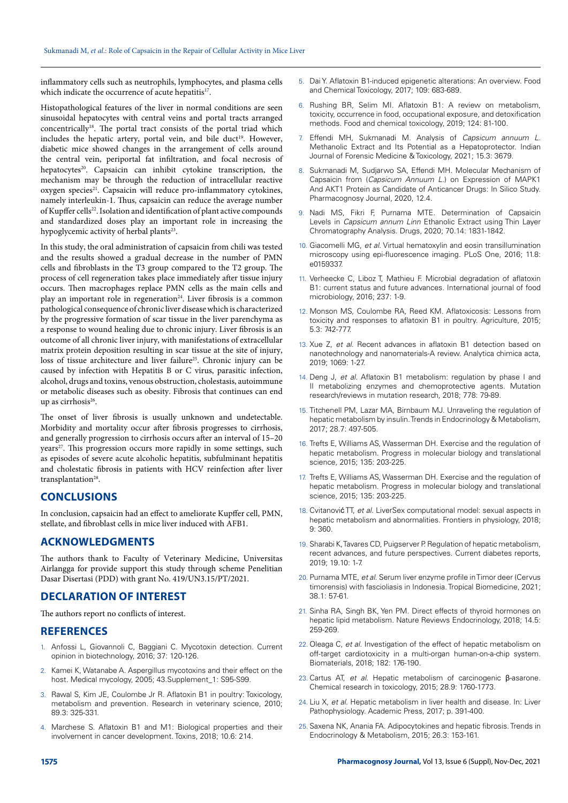inflammatory cells such as neutrophils, lymphocytes, and plasma cells which indicate the occurrence of acute hepatitis<sup>17</sup>.

Histopathological features of the liver in normal conditions are seen sinusoidal hepatocytes with central veins and portal tracts arranged concentrically<sup>18</sup>. The portal tract consists of the portal triad which includes the hepatic artery, portal vein, and bile duct<sup>19</sup>. However, diabetic mice showed changes in the arrangement of cells around the central vein, periportal fat infiltration, and focal necrosis of hepatocytes<sup>20</sup>. Capsaicin can inhibit cytokine transcription, the mechanism may be through the reduction of intracellular reactive oxygen species<sup>21</sup>. Capsaicin will reduce pro-inflammatory cytokines, namely interleukin-1. Thus, capsaicin can reduce the average number of Kupffer cells<sup>22</sup>. Isolation and identification of plant active compounds and standardized doses play an important role in increasing the hypoglycemic activity of herbal plants<sup>23</sup>.

In this study, the oral administration of capsaicin from chili was tested and the results showed a gradual decrease in the number of PMN cells and fibroblasts in the T3 group compared to the T2 group. The process of cell regeneration takes place immediately after tissue injury occurs. Then macrophages replace PMN cells as the main cells and play an important role in regeneration<sup>24</sup>. Liver fibrosis is a common pathological consequence of chronic liver disease which is characterized by the progressive formation of scar tissue in the liver parenchyma as a response to wound healing due to chronic injury. Liver fibrosis is an outcome of all chronic liver injury, with manifestations of extracellular matrix protein deposition resulting in scar tissue at the site of injury, loss of tissue architecture and liver failure<sup>25</sup>. Chronic injury can be caused by infection with Hepatitis B or C virus, parasitic infection, alcohol, drugs and toxins, venous obstruction, cholestasis, autoimmune or metabolic diseases such as obesity. Fibrosis that continues can end up as cirrhosis<sup>26</sup>.

The onset of liver fibrosis is usually unknown and undetectable. Morbidity and mortality occur after fibrosis progresses to cirrhosis, and generally progression to cirrhosis occurs after an interval of 15–20 years<sup>27</sup>. This progression occurs more rapidly in some settings, such as episodes of severe acute alcoholic hepatitis, subfulminant hepatitis and cholestatic fibrosis in patients with HCV reinfection after liver transplantation<sup>28</sup>.

## **CONCLUSIONS**

In conclusion, capsaicin had an effect to ameliorate Kupffer cell, PMN, stellate, and fibroblast cells in mice liver induced with AFB1.

## **ACKNOWLEDGMENTS**

The authors thank to Faculty of Veterinary Medicine, Universitas Airlangga for provide support this study through scheme Penelitian Dasar Disertasi (PDD) with grant No. 419/UN3.15/PT/2021.

## **DECLARATION OF INTEREST**

The authors report no conflicts of interest.

## **REFERENCES**

- Anfossi L, Giovannoli C, Baggiani C. Mycotoxin detection. Current opinion in biotechnology, 2016; 37: 120-126.
- 2. Kamei K, Watanabe A. Aspergillus mycotoxins and their effect on the host. Medical mycology, 2005; 43.Supplement\_1: S95-S99.
- 3. Rawal S, Kim JE, Coulombe Jr R. Aflatoxin B1 in poultry: Toxicology, metabolism and prevention. Research in veterinary science, 2010; 89.3: 325-331.
- 4. Marchese S. Aflatoxin B1 and M1: Biological properties and their involvement in cancer development. Toxins, 2018; 10.6: 214.
- 5. Dai Y. Aflatoxin B1-induced epigenetic alterations: An overview. Food and Chemical Toxicology, 2017; 109: 683-689.
- 6. Rushing BR, Selim MI. Aflatoxin B1: A review on metabolism, toxicity, occurrence in food, occupational exposure, and detoxification methods. Food and chemical toxicology, 2019; 124: 81-100.
- 7. Effendi MH, Sukmanadi M. Analysis of *Capsicum annuum L.* Methanolic Extract and Its Potential as a Hepatoprotector. Indian Journal of Forensic Medicine & Toxicology, 2021; 15.3: 3679.
- 8. Sukmanadi M, Sudjarwo SA, Effendi MH. Molecular Mechanism of Capsaicin from (*Capsicum Annuum L.*) on Expression of MAPK1 And AKT1 Protein as Candidate of Anticancer Drugs: In Silico Study. Pharmacognosy Journal, 2020, 12.4.
- 9. Nadi MS, Fikri F, Purnama MTE. Determination of Capsaicin Levels in *Capsicum annum Linn* Ethanolic Extract using Thin Layer Chromatography Analysis. Drugs, 2020; 70.14: 1831-1842.
- 10. Giacomelli MG, *et al*. Virtual hematoxylin and eosin transillumination microscopy using epi-fluorescence imaging. PLoS One, 2016; 11.8: e0159337.
- 11. Verheecke C, Liboz T, Mathieu F. Microbial degradation of aflatoxin B1: current status and future advances. International journal of food microbiology, 2016; 237: 1-9.
- 12. Monson MS, Coulombe RA, Reed KM. Aflatoxicosis: Lessons from toxicity and responses to aflatoxin B1 in poultry. Agriculture, 2015; 5.3: 742-777.
- 13. Xue Z, *et al*. Recent advances in aflatoxin B1 detection based on nanotechnology and nanomaterials-A review. Analytica chimica acta, 2019; 1069: 1-27.
- 14. Deng J, *et al*. Aflatoxin B1 metabolism: regulation by phase I and II metabolizing enzymes and chemoprotective agents. Mutation research/reviews in mutation research, 2018; 778: 79-89.
- 15. Titchenell PM, Lazar MA, Birnbaum MJ. Unraveling the regulation of hepatic metabolism by insulin. Trends in Endocrinology & Metabolism, 2017; 28.7: 497-505.
- 16. Trefts E, Williams AS, Wasserman DH. Exercise and the regulation of hepatic metabolism. Progress in molecular biology and translational science, 2015; 135: 203-225.
- 17. Trefts E, Williams AS, Wasserman DH. Exercise and the regulation of hepatic metabolism. Progress in molecular biology and translational science, 2015; 135: 203-225.
- 18. Cvitanović TT, *et al*. LiverSex computational model: sexual aspects in hepatic metabolism and abnormalities. Frontiers in physiology, 2018; 9: 360.
- 19. Sharabi K, Tavares CD, Puigserver P. Regulation of hepatic metabolism, recent advances, and future perspectives. Current diabetes reports, 2019; 19.10: 1-7.
- 20. Purnama MTE, *et al*. Serum liver enzyme profile in Timor deer (Cervus timorensis) with fascioliasis in Indonesia. Tropical Biomedicine, 2021; 38.1: 57-61.
- 21. Sinha RA, Singh BK, Yen PM. Direct effects of thyroid hormones on hepatic lipid metabolism. Nature Reviews Endocrinology, 2018; 14.5: 259-269.
- 22. Oleaga C, *et al*. Investigation of the effect of hepatic metabolism on off-target cardiotoxicity in a multi-organ human-on-a-chip system. Biomaterials, 2018; 182: 176-190.
- 23. Cartus AT, *et al*. Hepatic metabolism of carcinogenic β-asarone. Chemical research in toxicology, 2015; 28.9: 1760-1773.
- 24. Liu X, *et al*. Hepatic metabolism in liver health and disease. In: Liver Pathophysiology. Academic Press, 2017; p. 391-400.
- 25. Saxena NK, Anania FA. Adipocytokines and hepatic fibrosis. Trends in Endocrinology & Metabolism, 2015; 26.3: 153-161.